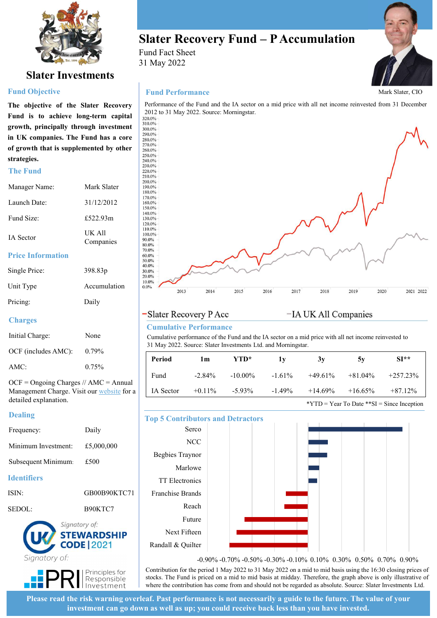

# Slater Investments

### Fund Objective

strategies. **strategies.**<br>
The Fund<br>  $\frac{240.0\%}{220.0\%}$ <br>  $\frac{220.0\%}{220.0\%}$ 

| Manager Name:            | Mark Slater         | 200.0%<br>190.0%                     |
|--------------------------|---------------------|--------------------------------------|
| Launch Date:             | 31/12/2012          | 180.0%<br>170.0%<br>160.0%<br>150.0% |
| Fund Size:               | £522.93m            | $140.0\%$<br>130.0%<br>120.0%        |
| <b>IA</b> Sector         | UK All<br>Companies | 110.0%<br>100.0%<br>90.0%<br>80.0%   |
| <b>Price Information</b> |                     | 70.0%<br>60.0%<br>50.0%              |

| Single Price: | 398.83 <sub>p</sub> |
|---------------|---------------------|
| Unit Type     | Accumulation        |
| Pricing:      | Daily               |

### **Charges**

| Initial Charge:     | None     |
|---------------------|----------|
| OCF (includes AMC): | $0.79\%$ |
| AMC:                | $0.75\%$ |

### Dealing

| Frequency:          | Daily      | Serco           |  |
|---------------------|------------|-----------------|--|
| Minimum Investment: | £5,000,000 | NCC             |  |
|                     |            | Begbies Traynor |  |
| Subsequent Minimum. | £500       | Marlowe         |  |
| Identifiers         |            | TT Electronics  |  |

| ISIN:  | GB00B90KTC71 |
|--------|--------------|
| SEDOL: | B90KTC7      |



Fund Fact Sheet 31 May 2022



### Fund Performance



### Cumulative Performance

| Price Iniormation                          |              | <b>00.0%</b><br>50.0%                    |                                                                                                                                                                        |            |              |                      |           |                                               |  |
|--------------------------------------------|--------------|------------------------------------------|------------------------------------------------------------------------------------------------------------------------------------------------------------------------|------------|--------------|----------------------|-----------|-----------------------------------------------|--|
| Single Price:                              | 398.83p      | 40.0%<br>30.0%<br>20.0%                  |                                                                                                                                                                        |            |              |                      |           |                                               |  |
| Unit Type                                  | Accumulation | 10.0%<br>$0.0\%$<br>2013                 | 2014                                                                                                                                                                   | 2015       | 2017<br>2016 | 2018                 | 2019      | 2020<br>2021 2022                             |  |
| Pricing:                                   | Daily        |                                          |                                                                                                                                                                        |            |              |                      |           |                                               |  |
| <b>Charges</b>                             |              | -Slater Recovery P Acc                   |                                                                                                                                                                        |            |              | -IA UK All Companies |           |                                               |  |
|                                            |              |                                          | <b>Cumulative Performance</b>                                                                                                                                          |            |              |                      |           |                                               |  |
| Initial Charge:                            | None         |                                          | Cumulative performance of the Fund and the IA sector on a mid price with all net income reinvested to<br>31 May 2022. Source: Slater Investments Ltd. and Morningstar. |            |              |                      |           |                                               |  |
| OCF (includes AMC):                        | 0.79%        | Period                                   | 1 <sub>m</sub>                                                                                                                                                         | YTD*       | 1y           | 3y                   | 5y        | $SI**$                                        |  |
| AMC:                                       | 0.75%        |                                          |                                                                                                                                                                        |            |              |                      |           |                                               |  |
| $OCF = Ongoing Charges // AMC = Annual$    |              | Fund                                     | $-2.84%$                                                                                                                                                               | $-10.00\%$ | $-1.61%$     | $+49.61%$            | $+81.04%$ | $+257.23%$                                    |  |
| Management Charge. Visit our website for a |              | IA Sector                                | $+0.11%$                                                                                                                                                               | $-5.93\%$  | $-1.49%$     | $+14.69%$            | $+16.65%$ | $+87.12%$                                     |  |
| detailed explanation.                      |              |                                          |                                                                                                                                                                        |            |              |                      |           | *YTD = Year To Date ** $SI$ = Since Inception |  |
| <b>Dealing</b>                             |              | <b>Top 5 Contributors and Detractors</b> |                                                                                                                                                                        |            |              |                      |           |                                               |  |
| Frequency:                                 | Daily        |                                          | Serco                                                                                                                                                                  |            |              |                      |           |                                               |  |
| Minimum Investment:                        | £5,000,000   |                                          | NCC                                                                                                                                                                    |            |              |                      |           |                                               |  |
|                                            | £500         | Begbies Traynor                          |                                                                                                                                                                        |            |              |                      |           |                                               |  |
| Subsequent Minimum:                        |              |                                          | Marlowe                                                                                                                                                                |            |              |                      |           |                                               |  |
| <b>Identifiers</b>                         |              | TT Electronics                           |                                                                                                                                                                        |            |              |                      |           |                                               |  |
| <b>ISIN:</b>                               | GB00B90KTC71 | Franchise Brands                         |                                                                                                                                                                        |            |              |                      |           |                                               |  |

# Top 5 Contributors and Detractors





Please read the risk warning overleaf. Past performance is not necessarily a guide to the future. The value of your investment can go down as well as up; you could receive back less than you have invested.